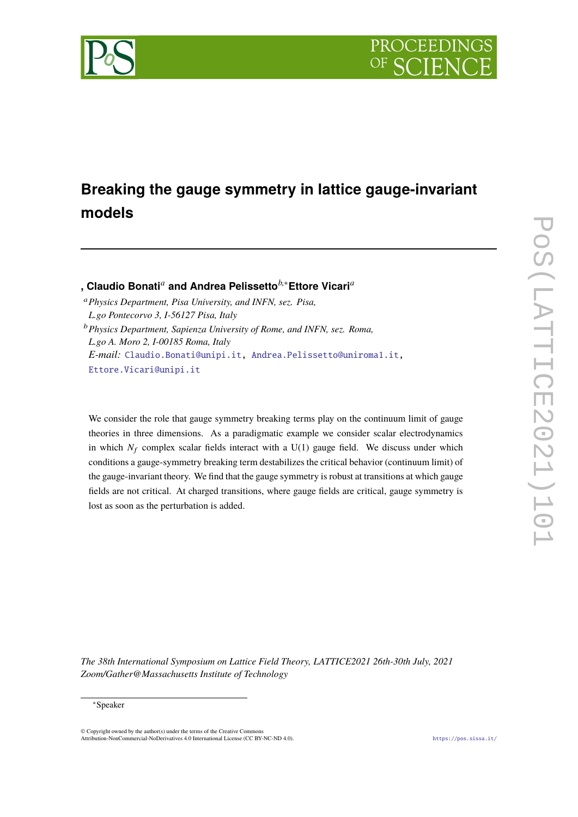



# **Breaking the gauge symmetry in lattice gauge-invariant models**

**, Claudio Bonati***<sup>a</sup>* **and Andrea Pelissetto***b*,∗**Ettore Vicari***<sup>a</sup>*

- <sup>a</sup>*Physics Department, Pisa University, and INFN, sez. Pisa, L.go Pontecorvo 3, I-56127 Pisa, Italy*
- <sup>b</sup>*Physics Department, Sapienza University of Rome, and INFN, sez. Roma, L.go A. Moro 2, I-00185 Roma, Italy E-mail:* [Claudio.Bonati@unipi.it,](mailto:Claudio.Bonati@unipi.it) [Andrea.Pelissetto@uniroma1.it,](mailto:Andrea.Pelissetto@uniroma1.it) [Ettore.Vicari@unipi.it](mailto:Ettore.Vicari@unipi.it)

We consider the role that gauge symmetry breaking terms play on the continuum limit of gauge theories in three dimensions. As a paradigmatic example we consider scalar electrodynamics in which  $N_f$  complex scalar fields interact with a  $U(1)$  gauge field. We discuss under which conditions a gauge-symmetry breaking term destabilizes the critical behavior (continuum limit) of the gauge-invariant theory. We find that the gauge symmetry is robust at transitions at which gauge fields are not critical. At charged transitions, where gauge fields are critical, gauge symmetry is lost as soon as the perturbation is added.

*The 38th International Symposium on Lattice Field Theory, LATTICE2021 26th-30th July, 2021 Zoom/Gather@Massachusetts Institute of Technology*

<sup>∗</sup>Speaker

<sup>©</sup> Copyright owned by the author(s) under the terms of the Creative Commons Attribution-NonCommercial-NoDerivatives 4.0 International License (CC BY-NC-ND 4.0). <https://pos.sissa.it/>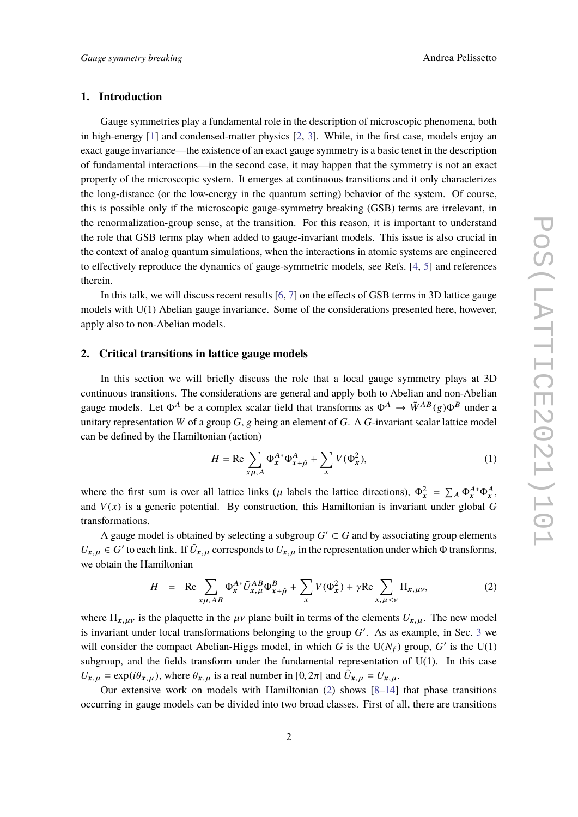## **1. Introduction**

Gauge symmetries play a fundamental role in the description of microscopic phenomena, both in high-energy [\[1\]](#page-6-0) and condensed-matter physics [\[2,](#page-6-1) [3\]](#page-6-2). While, in the first case, models enjoy an exact gauge invariance—the existence of an exact gauge symmetry is a basic tenet in the description of fundamental interactions—in the second case, it may happen that the symmetry is not an exact property of the microscopic system. It emerges at continuous transitions and it only characterizes the long-distance (or the low-energy in the quantum setting) behavior of the system. Of course, this is possible only if the microscopic gauge-symmetry breaking (GSB) terms are irrelevant, in the renormalization-group sense, at the transition. For this reason, it is important to understand the role that GSB terms play when added to gauge-invariant models. This issue is also crucial in the context of analog quantum simulations, when the interactions in atomic systems are engineered to effectively reproduce the dynamics of gauge-symmetric models, see Refs. [\[4,](#page-6-3) [5\]](#page-6-4) and references therein.

In this talk, we will discuss recent results [\[6,](#page-6-5) [7\]](#page-6-6) on the effects of GSB terms in 3D lattice gauge models with U(1) Abelian gauge invariance. Some of the considerations presented here, however, apply also to non-Abelian models.

#### **2. Critical transitions in lattice gauge models**

In this section we will briefly discuss the role that a local gauge symmetry plays at 3D continuous transitions. The considerations are general and apply both to Abelian and non-Abelian gauge models. Let  $\Phi^A$  be a complex scalar field that transforms as  $\Phi^A \to \tilde{W}^{AB}(g)\Phi^B$  under a unitary representation *W* of a group *G*, g being an element of *G*. A *G*-invariant scalar lattice model can be defined by the Hamiltonian (action)

$$
H = \text{Re}\sum_{x\mu, A} \Phi_x^{A*} \Phi_{x+\hat{\mu}}^A + \sum_x V(\Phi_x^2),\tag{1}
$$

where the first sum is over all lattice links ( $\mu$  labels the lattice directions),  $\Phi_x^2 = \sum_A \Phi_x^{A*} \Phi_x^A$ , and  $V(x)$  is a generic potential. By construction, this Hamiltonian is invariant under global G transformations.

A gauge model is obtained by selecting a subgroup  $G' \subset G$  and by associating group elements  $U_{\mathbf{x},\mu} \in G'$  to each link. If  $\tilde{U}_{\mathbf{x},\mu}$  corresponds to  $U_{\mathbf{x},\mu}$  in the representation under which  $\Phi$  transforms, we obtain the Hamiltonian

<span id="page-1-0"></span>
$$
H = \text{Re} \sum_{x\mu, AB} \Phi_x^{A*} \tilde{U}_{x,\mu}^{AB} \Phi_{x+\hat{\mu}}^B + \sum_x V(\Phi_x^2) + \gamma \text{Re} \sum_{x,\mu < \nu} \Pi_{x,\mu\nu}, \tag{2}
$$

where  $\Pi_{x,\mu\nu}$  is the plaquette in the  $\mu\nu$  plane built in terms of the elements  $U_{x,\mu}$ . The new model is invariant under local transformations belonging to the group  $G'$ . As as example, in Sec. [3](#page-3-0) we will consider the compact Abelian-Higgs model, in which *G* is the  $U(N_f)$  group, *G'* is the  $U(1)$ subgroup, and the fields transform under the fundamental representation of  $U(1)$ . In this case  $U_{\mathbf{x},\mu} = \exp(i\theta_{\mathbf{x},\mu})$ , where  $\theta_{\mathbf{x},\mu}$  is a real number in [0,  $2\pi$ [ and  $\tilde{U}_{\mathbf{x},\mu} = U_{\mathbf{x},\mu}$ .

Our extensive work on models with Hamiltonian  $(2)$  shows  $[8-14]$  $[8-14]$  that phase transitions occurring in gauge models can be divided into two broad classes. First of all, there are transitions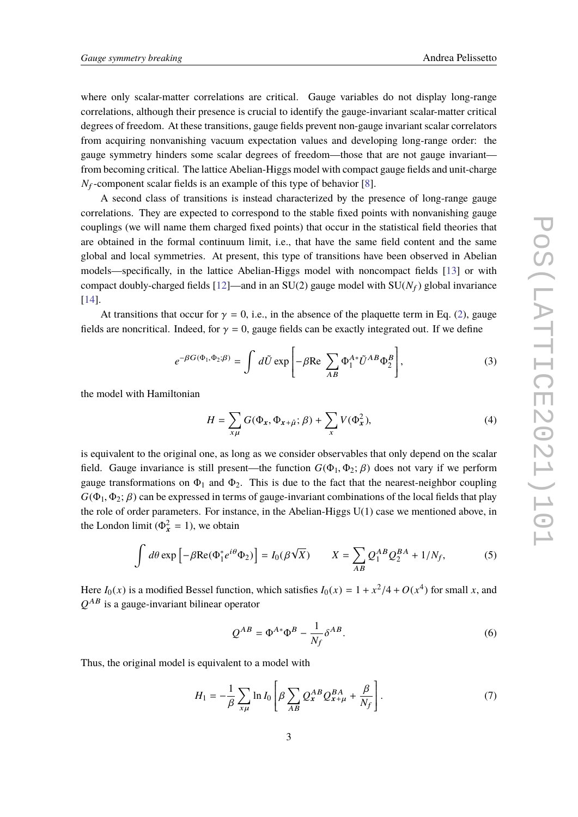where only scalar-matter correlations are critical. Gauge variables do not display long-range correlations, although their presence is crucial to identify the gauge-invariant scalar-matter critical degrees of freedom. At these transitions, gauge fields prevent non-gauge invariant scalar correlators from acquiring nonvanishing vacuum expectation values and developing long-range order: the gauge symmetry hinders some scalar degrees of freedom—those that are not gauge invariant from becoming critical. The lattice Abelian-Higgs model with compact gauge fields and unit-charge  $N_f$ -component scalar fields is an example of this type of behavior [\[8\]](#page-7-0).

A second class of transitions is instead characterized by the presence of long-range gauge correlations. They are expected to correspond to the stable fixed points with nonvanishing gauge couplings (we will name them charged fixed points) that occur in the statistical field theories that are obtained in the formal continuum limit, i.e., that have the same field content and the same global and local symmetries. At present, this type of transitions have been observed in Abelian models—specifically, in the lattice Abelian-Higgs model with noncompact fields [\[13\]](#page-7-2) or with compact doubly-charged fields  $[12]$ —and in an SU(2) gauge model with SU( $N_f$ ) global invariance [\[14\]](#page-7-1).

At transitions that occur for  $\gamma = 0$ , i.e., in the absence of the plaquette term in Eq. [\(2\)](#page-1-0), gauge fields are noncritical. Indeed, for  $\gamma = 0$ , gauge fields can be exactly integrated out. If we define

$$
e^{-\beta G(\Phi_1, \Phi_2; \beta)} = \int d\tilde{U} \exp\left[-\beta \text{Re} \sum_{AB} \Phi_1^{A*} \tilde{U}^{AB} \Phi_2^B\right],\tag{3}
$$

the model with Hamiltonian

$$
H = \sum_{x\mu} G(\Phi_x, \Phi_{x+\hat{\mu}}; \beta) + \sum_x V(\Phi_x^2), \tag{4}
$$

is equivalent to the original one, as long as we consider observables that only depend on the scalar field. Gauge invariance is still present—the function  $G(\Phi_1, \Phi_2; \beta)$  does not vary if we perform gauge transformations on  $\Phi_1$  and  $\Phi_2$ . This is due to the fact that the nearest-neighbor coupling  $G(\Phi_1, \Phi_2; \beta)$  can be expressed in terms of gauge-invariant combinations of the local fields that play the role of order parameters. For instance, in the Abelian-Higgs U(1) case we mentioned above, in the London limit ( $\Phi_x^2 = 1$ ), we obtain

$$
\int d\theta \exp\left[-\beta \text{Re}(\Phi_1^* e^{i\theta} \Phi_2)\right] = I_0(\beta \sqrt{X}) \qquad X = \sum_{AB} Q_1^{AB} Q_2^{BA} + 1/N_f,
$$
 (5)

Here  $I_0(x)$  is a modified Bessel function, which satisfies  $I_0(x) = 1 + x^2/4 + O(x^4)$  for small *x*, and  $OAB$  is a gauge invariant bilinear apartor. *Q* AB is a gauge-invariant bilinear operator

<span id="page-2-0"></span>
$$
Q^{AB} = \Phi^{A*} \Phi^B - \frac{1}{N_f} \delta^{AB}.
$$
 (6)

Thus, the original model is equivalent to a model with

$$
H_1 = -\frac{1}{\beta} \sum_{x\mu} \ln I_0 \left[ \beta \sum_{AB} Q_x^{AB} Q_{x+\mu}^{BA} + \frac{\beta}{N_f} \right]. \tag{7}
$$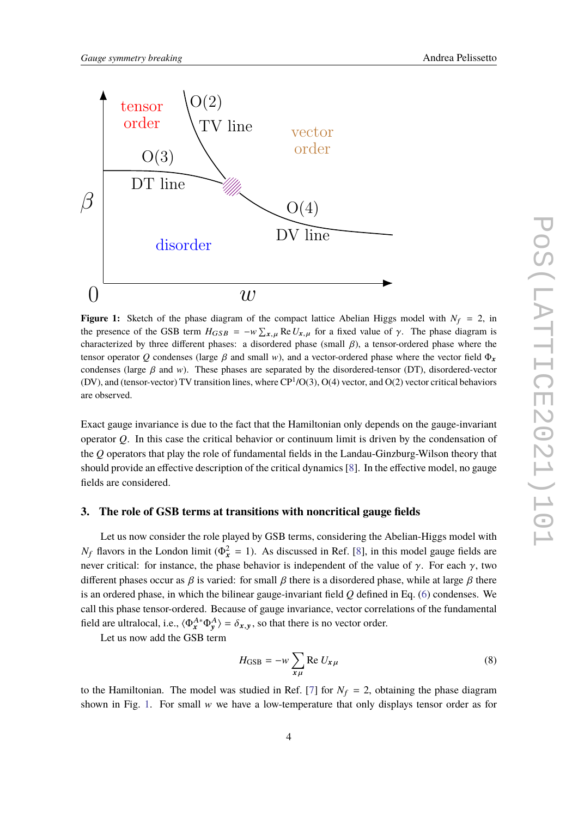<span id="page-3-1"></span>

**Figure 1:** Sketch of the phase diagram of the compact lattice Abelian Higgs model with  $N_f = 2$ , in the presence of the GSB term  $H_{GSB} = -w \sum_{x,\mu} \text{Re} U_{x,\mu}$  for a fixed value of  $\gamma$ . The phase diagram is<br>characterized by three different phases: a disordered phase (small,  $\beta$ ), a tensor ordered phase where the characterized by three different phases: a disordered phase (small  $\beta$ ), a tensor-ordered phase where the tensor operator *Q* condenses (large  $\beta$  and small w), and a vector-ordered phase where the vector field  $\Phi_r$ condenses (large  $\beta$  and w). These phases are separated by the disordered-tensor (DT), disordered-vector (DV), and (tensor-vector) TV transition lines, where  $CP^1/O(3)$ ,  $O(4)$  vector, and  $O(2)$  vector critical behaviors are observed.

Exact gauge invariance is due to the fact that the Hamiltonian only depends on the gauge-invariant operator *Q*. In this case the critical behavior or continuum limit is driven by the condensation of the *Q* operators that play the role of fundamental fields in the Landau-Ginzburg-Wilson theory that should provide an effective description of the critical dynamics [\[8\]](#page-7-0). In the effective model, no gauge fields are considered.

### <span id="page-3-0"></span>**3. The role of GSB terms at transitions with noncritical gauge fields**

Let us now consider the role played by GSB terms, considering the Abelian-Higgs model with *N<sub>f</sub>* flavors in the London limit ( $\Phi_x^2 = 1$ ). As discussed in Ref. [\[8\]](#page-7-0), in this model gauge fields are never critical: for instance, the phase behavior is independent of the value of γ. For each γ, two different phases occur as  $\beta$  is varied: for small  $\beta$  there is a disordered phase, while at large  $\beta$  there is an ordered phase, in which the bilinear gauge-invariant field *Q* defined in Eq. [\(6\)](#page-2-0) condenses. We call this phase tensor-ordered. Because of gauge invariance, vector correlations of the fundamental field are ultralocal, i.e.,  $\langle \Phi_x^{A*} \Phi_y^A \rangle = \delta_{x,y}$ , so that there is no vector order.

Let us now add the GSB term

$$
H_{\text{GSB}} = -w \sum_{x\mu} \text{Re } U_{x\mu} \tag{8}
$$

to the Hamiltonian. The model was studied in Ref. [\[7\]](#page-6-6) for  $N_f = 2$ , obtaining the phase diagram shown in Fig. [1.](#page-3-1) For small  $w$  we have a low-temperature that only displays tensor order as for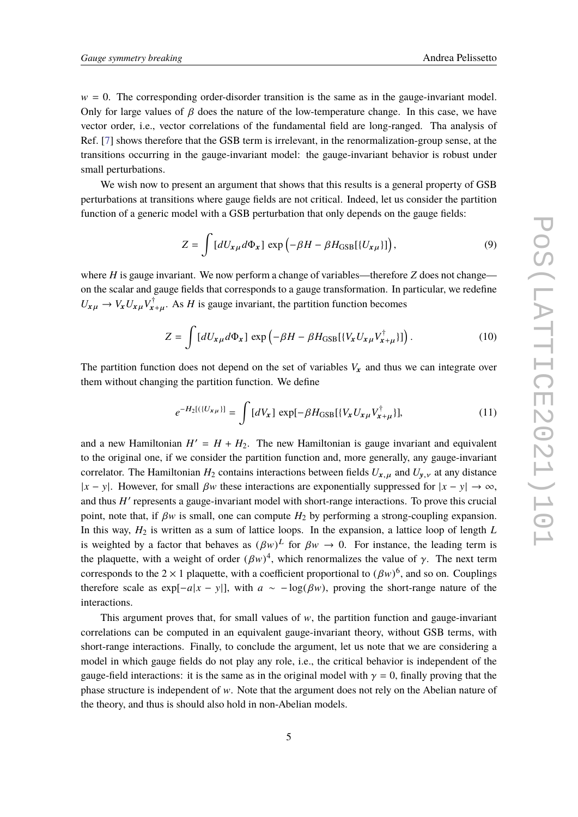$w = 0$ . The corresponding order-disorder transition is the same as in the gauge-invariant model. Only for large values of  $\beta$  does the nature of the low-temperature change. In this case, we have vector order, i.e., vector correlations of the fundamental field are long-ranged. Tha analysis of Ref. [\[7\]](#page-6-6) shows therefore that the GSB term is irrelevant, in the renormalization-group sense, at the transitions occurring in the gauge-invariant model: the gauge-invariant behavior is robust under small perturbations.

We wish now to present an argument that shows that this results is a general property of GSB perturbations at transitions where gauge fields are not critical. Indeed, let us consider the partition function of a generic model with a GSB perturbation that only depends on the gauge fields:

$$
Z = \int [dU_{x\mu}d\Phi_x] \exp(-\beta H - \beta H_{\text{GSB}}[(U_{x\mu})]), \qquad (9)
$$

where  $H$  is gauge invariant. We now perform a change of variables—therefore  $Z$  does not change on the scalar and gauge fields that corresponds to a gauge transformation. In particular, we redefine  $U_{x\mu} \rightarrow V_x U_{x\mu} V_x^{\dagger}$  $x_{+\mu}^{\dagger}$ . As *H* is gauge invariant, the partition function becomes

$$
Z = \int [dU_{x\mu}d\Phi_x] \exp \left(-\beta H - \beta H_{\text{GSB}}[(V_x U_{x\mu} V_{x+\mu}^\dagger)]\right). \tag{10}
$$

The partition function does not depend on the set of variables  $V_x$  and thus we can integrate over them without changing the partition function. We define

$$
e^{-H_2[(\{U_{x\mu}\}]} = \int [dV_x] \, \exp[-\beta H_{\rm GSB}[\{V_x U_{x\mu} V_{x+\mu}^{\dagger}\}], \tag{11}
$$

and a new Hamiltonian  $H' = H + H_2$ . The new Hamiltonian is gauge invariant and equivalent to the original one, if we consider the partition function and, more generally, any gauge-invariant correlator. The Hamiltonian  $H_2$  contains interactions between fields  $U_{x,\mu}$  and  $U_{y,\nu}$  at any distance  $|x - y|$ . However, for small  $\beta w$  these interactions are exponentially suppressed for  $|x - y| \rightarrow \infty$ , and thus *H'* represents a gauge-invariant model with short-range interactions. To prove this crucial point, note that, if  $\beta w$  is small, one can compute  $H_2$  by performing a strong-coupling expansion. In this way,  $H_2$  is written as a sum of lattice loops. In the expansion, a lattice loop of length *L* is weighted by a factor that behaves as  $(\beta w)^L$  for  $\beta w \to 0$ . For instance, the leading term is<br>the algoustic, with a weight of order  $(\beta w)^{\frac{1}{2}}$  which reperpendings the value of  $\alpha$ . The next term the plaquette, with a weight of order  $(\beta w)^4$ , which renormalizes the value of  $\gamma$ . The next term<br>corresponds to the 2  $\times$  1 plaquette, with a soafficient respectional to  $(\beta w)^6$  and so an. Couplings corresponds to the 2 × 1 plaquette, with a coefficient proportional to  $(\beta w)^6$ , and so on. Couplings<br>therefore each as  $\alpha w$  and  $w$  in with  $\alpha$  and  $(\beta w)$ , graving the short gaps patter of the therefore scale as exp[ $-a|x - y|$ ], with  $a \sim -\log(\beta w)$ , proving the short-range nature of the interactions.

This argument proves that, for small values of  $w$ , the partition function and gauge-invariant correlations can be computed in an equivalent gauge-invariant theory, without GSB terms, with short-range interactions. Finally, to conclude the argument, let us note that we are considering a model in which gauge fields do not play any role, i.e., the critical behavior is independent of the gauge-field interactions: it is the same as in the original model with  $\gamma = 0$ , finally proving that the phase structure is independent of  $w$ . Note that the argument does not rely on the Abelian nature of the theory, and thus is should also hold in non-Abelian models.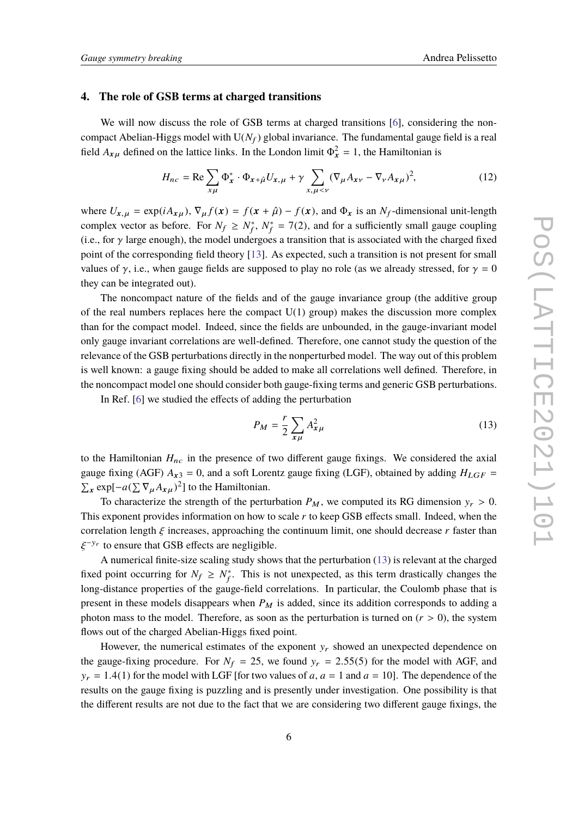## **4. The role of GSB terms at charged transitions**

We will now discuss the role of GSB terms at charged transitions [\[6\]](#page-6-5), considering the noncompact Abelian-Higgs model with  $U(N_f)$  global invariance. The fundamental gauge field is a real field  $A_{x\mu}$  defined on the lattice links. In the London limit  $\Phi_x^2 = 1$ , the Hamiltonian is

$$
H_{nc} = \text{Re} \sum_{x\mu} \Phi_x^* \cdot \Phi_{x+\hat{\mu}} U_{x,\mu} + \gamma \sum_{x,\mu < \nu} (\nabla_\mu A_{x\nu} - \nabla_\nu A_{x\mu})^2,\tag{12}
$$

where  $U_{x,\mu} = \exp(iA_{x\mu})$ ,  $\nabla_{\mu} f(x) = f(x + \hat{\mu}) - f(x)$ , and  $\Phi_x$  is an  $N_f$ -dimensional unit-length complex vector as before. For  $N_f \geq N_f^*$ f , *N* ∗  $f_f^* = 7(2)$ , and for a sufficiently small gauge coupling (i.e., for  $\gamma$  large enough), the model undergoes a transition that is associated with the charged fixed point of the corresponding field theory [\[13\]](#page-7-2). As expected, such a transition is not present for small values of  $\gamma$ , i.e., when gauge fields are supposed to play no role (as we already stressed, for  $\gamma = 0$ they can be integrated out).

The noncompact nature of the fields and of the gauge invariance group (the additive group of the real numbers replaces here the compact  $U(1)$  group) makes the discussion more complex than for the compact model. Indeed, since the fields are unbounded, in the gauge-invariant model only gauge invariant correlations are well-defined. Therefore, one cannot study the question of the relevance of the GSB perturbations directly in the nonperturbed model. The way out of this problem is well known: a gauge fixing should be added to make all correlations well defined. Therefore, in the noncompact model one should consider both gauge-fixing terms and generic GSB perturbations.

In Ref. [\[6\]](#page-6-5) we studied the effects of adding the perturbation

<span id="page-5-0"></span>
$$
P_M = \frac{r}{2} \sum_{\mathbf{x}\mu} A_{\mathbf{x}\mu}^2 \tag{13}
$$

to the Hamiltonian  $H_{nc}$  in the presence of two different gauge fixings. We considered the axial gauge fixing (AGF)  $A_{x3} = 0$ , and a soft Lorentz gauge fixing (LGF), obtained by adding  $H_{LGF}$  =  $\sum_{\mathbf{x}} \exp[-a(\sum \nabla_{\mu} A_{\mathbf{x}}_{\mu})^2]$  to the Hamiltonian.

To characterize the strength of the perturbation  $P_M$ , we computed its RG dimension  $y_r > 0$ . This exponent provides information on how to scale *r* to keep GSB effects small. Indeed, when the correlation length  $\xi$  increases, approaching the continuum limit, one should decrease  $r$  faster than −y<sup>r</sup> to ensure that GSB effects are negligible.

ξ A numerical finite-size scaling study shows that the perturbation [\(13\)](#page-5-0) is relevant at the charged fixed point occurring for  $N_f \geq N_f^*$  $_{f}^{*}$ . This is not unexpected, as this term drastically changes the long-distance properties of the gauge-field correlations. In particular, the Coulomb phase that is present in these models disappears when  $P_M$  is added, since its addition corresponds to adding a photon mass to the model. Therefore, as soon as the perturbation is turned on  $(r > 0)$ , the system flows out of the charged Abelian-Higgs fixed point.

However, the numerical estimates of the exponent  $y_r$  showed an unexpected dependence on the gauge-fixing procedure. For  $N_f = 25$ , we found  $y_r = 2.55(5)$  for the model with AGF, and  $y_r = 1.4(1)$  for the model with LGF [for two values of *a*,  $a = 1$  and  $a = 10$ ]. The dependence of the results on the gauge fixing is puzzling and is presently under investigation. One possibility is that the different results are not due to the fact that we are considering two different gauge fixings, the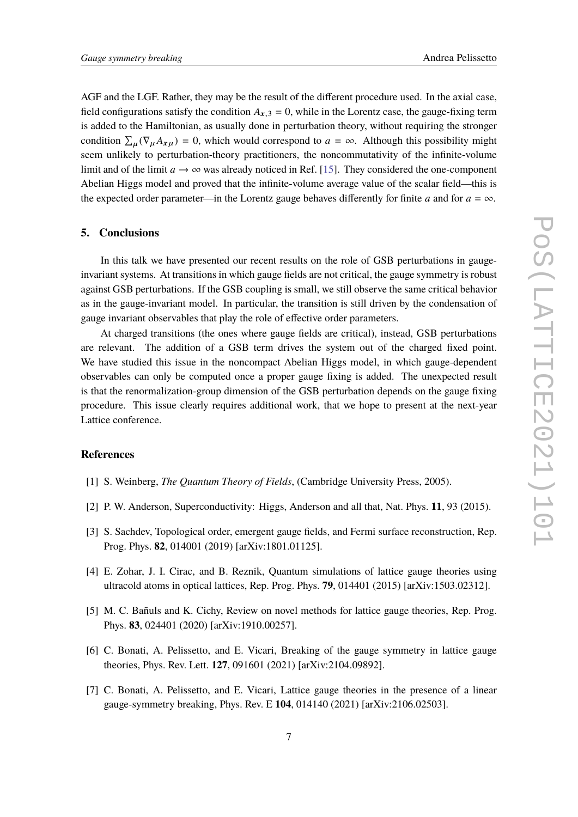AGF and the LGF. Rather, they may be the result of the different procedure used. In the axial case, field configurations satisfy the condition  $A_{x,3} = 0$ , while in the Lorentz case, the gauge-fixing term is added to the Hamiltonian, as usually done in perturbation theory, without requiring the stronger condition  $\sum_{\mu} (\nabla_{\mu} A_{x\mu}) = 0$ , which would correspond to  $a = \infty$ . Although this possibility might seem unlikely to perturbation-theory practitioners, the noncommutativity of the infinite-volume limit and of the limit  $a \to \infty$  was already noticed in Ref. [\[15\]](#page-7-4). They considered the one-component Abelian Higgs model and proved that the infinite-volume average value of the scalar field—this is the expected order parameter—in the Lorentz gauge behaves differently for finite *a* and for  $a = \infty$ .

#### **5. Conclusions**

In this talk we have presented our recent results on the role of GSB perturbations in gaugeinvariant systems. At transitions in which gauge fields are not critical, the gauge symmetry is robust against GSB perturbations. If the GSB coupling is small, we still observe the same critical behavior as in the gauge-invariant model. In particular, the transition is still driven by the condensation of gauge invariant observables that play the role of effective order parameters.

At charged transitions (the ones where gauge fields are critical), instead, GSB perturbations are relevant. The addition of a GSB term drives the system out of the charged fixed point. We have studied this issue in the noncompact Abelian Higgs model, in which gauge-dependent observables can only be computed once a proper gauge fixing is added. The unexpected result is that the renormalization-group dimension of the GSB perturbation depends on the gauge fixing procedure. This issue clearly requires additional work, that we hope to present at the next-year Lattice conference.

## **References**

- <span id="page-6-0"></span>[1] S. Weinberg, *The Quantum Theory of Fields*, (Cambridge University Press, 2005).
- <span id="page-6-1"></span>[2] P. W. Anderson, Superconductivity: Higgs, Anderson and all that, Nat. Phys. **11**, 93 (2015).
- <span id="page-6-2"></span>[3] S. Sachdev, Topological order, emergent gauge fields, and Fermi surface reconstruction, Rep. Prog. Phys. **82**, 014001 (2019) [arXiv:1801.01125].
- <span id="page-6-3"></span>[4] E. Zohar, J. I. Cirac, and B. Reznik, Quantum simulations of lattice gauge theories using ultracold atoms in optical lattices, Rep. Prog. Phys. **79**, 014401 (2015) [arXiv:1503.02312].
- <span id="page-6-4"></span>[5] M. C. Bañuls and K. Cichy, Review on novel methods for lattice gauge theories, Rep. Prog. Phys. **83**, 024401 (2020) [arXiv:1910.00257].
- <span id="page-6-5"></span>[6] C. Bonati, A. Pelissetto, and E. Vicari, Breaking of the gauge symmetry in lattice gauge theories, Phys. Rev. Lett. **127**, 091601 (2021) [arXiv:2104.09892].
- <span id="page-6-6"></span>[7] C. Bonati, A. Pelissetto, and E. Vicari, Lattice gauge theories in the presence of a linear gauge-symmetry breaking, Phys. Rev. E **104**, 014140 (2021) [arXiv:2106.02503].